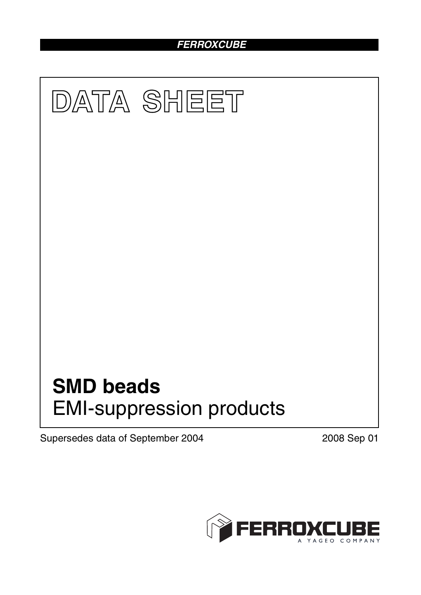## *FERROXCUBE*



Supersedes data of September 2004 2008 Sep 01

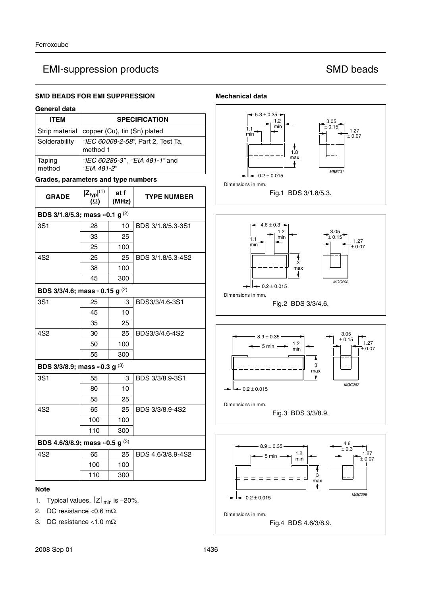### **SMD BEADS FOR EMI SUPPRESSION**

## **General data**

| General data                                 |                                                |               |                                |  |  |  |
|----------------------------------------------|------------------------------------------------|---------------|--------------------------------|--|--|--|
| <b>ITEM</b>                                  | <b>SPECIFICATION</b>                           |               |                                |  |  |  |
| Strip material                               | copper (Cu), tin (Sn) plated                   |               |                                |  |  |  |
| Solderability                                | "IEC 60068-2-58", Part 2, Test Ta,<br>method 1 |               |                                |  |  |  |
| Taping<br>method                             | "EIA 481-2"                                    |               | "IEC 60286-3", "EIA 481-1" and |  |  |  |
| Grades, parameters and type numbers          |                                                |               |                                |  |  |  |
| <b>GRADE</b>                                 | $ Z_{typ} ^{(1)}$<br>$(\Omega)$                | at f<br>(MHz) | <b>TYPE NUMBER</b>             |  |  |  |
| BDS 3/1.8/5.3; mass $\approx$ 0.1 g $^{(2)}$ |                                                |               |                                |  |  |  |
| 3S1                                          | 28                                             | 10            | BDS 3/1.8/5.3-3S1              |  |  |  |
|                                              | 33                                             | 25            |                                |  |  |  |
|                                              | 25                                             | 100           |                                |  |  |  |
| 4S <sub>2</sub>                              | 25                                             | 25            | BDS 3/1.8/5.3-4S2              |  |  |  |
|                                              | 38                                             | 100           |                                |  |  |  |
|                                              | 45                                             | 300           |                                |  |  |  |
| BDS 3/3/4.6; mass $\approx$ 0.15 g $^{(2)}$  |                                                |               |                                |  |  |  |
| 3S1                                          | 25                                             | 3             | BDS3/3/4.6-3S1                 |  |  |  |
|                                              | 45                                             | 10            |                                |  |  |  |
|                                              | 35                                             | 25            |                                |  |  |  |
| 4S <sub>2</sub>                              | 30                                             | 25            | BDS3/3/4.6-4S2                 |  |  |  |
|                                              | 50                                             | 100           |                                |  |  |  |
|                                              | 55                                             | 300           |                                |  |  |  |
| BDS 3/3/8.9; mass $\approx$ 0.3 g $^{(3)}$   |                                                |               |                                |  |  |  |
| 3S1                                          | 55                                             | 3             | BDS 3/3/8.9-3S1                |  |  |  |
|                                              | 80                                             | 10            |                                |  |  |  |
|                                              | 55                                             | 25            |                                |  |  |  |
| 4S <sub>2</sub>                              | 65                                             | 25            | BDS 3/3/8.9-4S2                |  |  |  |
|                                              | 100                                            | 100           |                                |  |  |  |
|                                              | 110                                            | 300           |                                |  |  |  |
| BDS 4.6/3/8.9; mass $\approx$ 0.5 g $^{(3)}$ |                                                |               |                                |  |  |  |
| 4S <sub>2</sub>                              | 65                                             | 25            | BDS 4.6/3/8.9-4S2              |  |  |  |
|                                              | 100                                            | 100           |                                |  |  |  |
|                                              | 110                                            | 300           |                                |  |  |  |

### **Note**

- 1. Typical values,  $|Z|_{min}$  is -20%.
- 2. DC resistance <0.6 m $\Omega$ .
- 3. DC resistance <1.0 mΩ

#### **Mechanical data**



Fig.4 BDS 4.6/3/8.9. Dimensions in mm.

 $-0.2 \pm 0.015$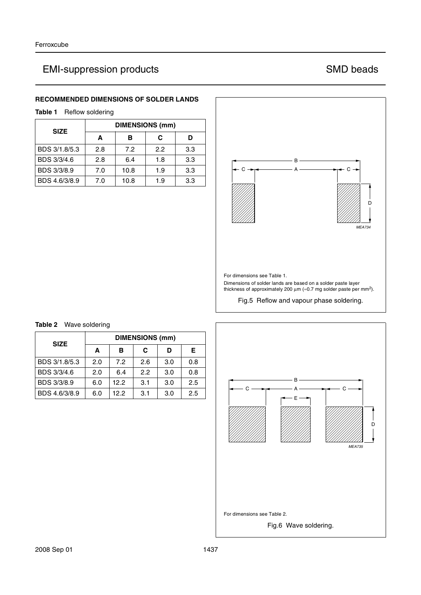### **RECOMMENDED DIMENSIONS OF SOLDER LANDS**

**Table 1** Reflow soldering

| <b>SIZE</b>   | <b>DIMENSIONS (mm)</b> |      |     |     |  |
|---------------|------------------------|------|-----|-----|--|
|               | A                      | в    | C   | D   |  |
| BDS 3/1.8/5.3 | 2.8                    | 7.2  | 2.2 | 3.3 |  |
| BDS 3/3/4.6   | 2.8                    | 6.4  | 1.8 | 3.3 |  |
| BDS 3/3/8.9   | 7.0                    | 10.8 | 1.9 | 3.3 |  |
| BDS 4.6/3/8.9 | 7.0                    | 10.8 | 1.9 | 3.3 |  |







### **Table 2** Wave soldering

| <b>SIZE</b>   | <b>DIMENSIONS (mm)</b> |      |     |     |     |  |
|---------------|------------------------|------|-----|-----|-----|--|
|               | A                      | в    | C   | D   | Е   |  |
| BDS 3/1.8/5.3 | 2.0                    | 7.2  | 2.6 | 3.0 | 0.8 |  |
| BDS 3/3/4.6   | 2.0                    | 6.4  | 2.2 | 3.0 | 0.8 |  |
| BDS 3/3/8.9   | 6.0                    | 12.2 | 3.1 | 3.0 | 2.5 |  |
| BDS 4.6/3/8.9 | 6.0                    | 12.2 | 3.1 | 3.0 | 2.5 |  |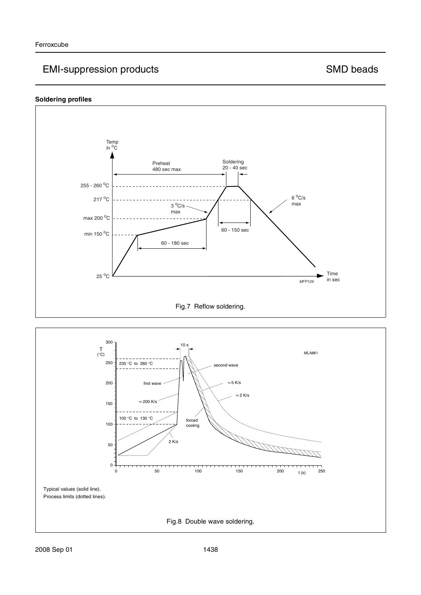### **Soldering profiles**



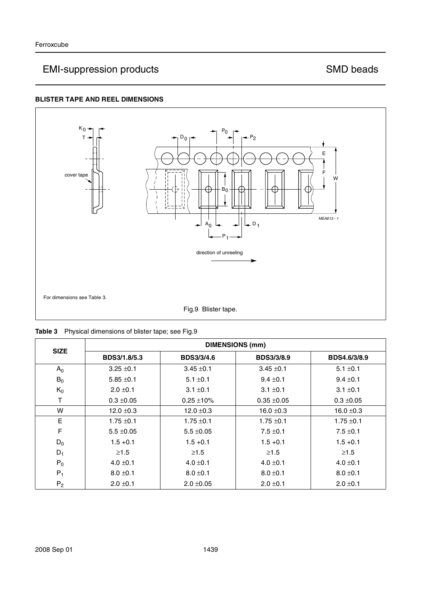### **BLISTER TAPE AND REEL DIMENSIONS**



| <b>SIZE</b>    | <b>DIMENSIONS (mm)</b> |                   |                   |                |  |  |
|----------------|------------------------|-------------------|-------------------|----------------|--|--|
|                | BDS3/1.8/5.3           | <b>BDS3/3/4.6</b> | <b>BDS3/3/8.9</b> | BDS4.6/3/8.9   |  |  |
| $A_0$          | $3.25 \pm 0.1$         | $3.45 \pm 0.1$    | $3.45 \pm 0.1$    | $5.1 \pm 0.1$  |  |  |
| $B_0$          | $5.85 \pm 0.1$         | $5.1 \pm 0.1$     | $9.4 \pm 0.1$     | $9.4 \pm 0.1$  |  |  |
| $K_0$          | $2.0 \pm 0.1$          | $3.1 \pm 0.1$     | $3.1 \pm 0.1$     | $3.1 \pm 0.1$  |  |  |
| т              | $0.3 \pm 0.05$         | $0.25 \pm 10\%$   | $0.35 + 0.05$     | $0.3 \pm 0.05$ |  |  |
| W              | $12.0 \pm 0.3$         | $12.0 \pm 0.3$    | 16.0 $\pm$ 0.3    | $16.0 \pm 0.3$ |  |  |
| E              | $1.75 \pm 0.1$         | $1.75 \pm 0.1$    | $1.75 \pm 0.1$    | $1.75 \pm 0.1$ |  |  |
| F              | $5.5 \pm 0.05$         | $5.5 \pm 0.05$    | $7.5 \pm 0.1$     | $7.5 \pm 0.1$  |  |  |
| $D_0$          | $1.5 + 0.1$            | $1.5 + 0.1$       | $1.5 + 0.1$       | $1.5 + 0.1$    |  |  |
| $D_1$          | $\geq 1.5$             | $\geq 1.5$        | $\geq 1.5$        | $\geq 1.5$     |  |  |
| $P_0$          | $4.0 \pm 0.1$          | $4.0 \pm 0.1$     | $4.0 \pm 0.1$     | $4.0 \pm 0.1$  |  |  |
| $P_1$          | $8.0 \pm 0.1$          | $8.0 \pm 0.1$     | $8.0 \pm 0.1$     | $8.0 \pm 0.1$  |  |  |
| P <sub>2</sub> | $2.0 \pm 0.1$          | $2.0 \pm 0.05$    | $2.0 \pm 0.1$     | $2.0 \pm 0.1$  |  |  |

|  | Table 3 Physical dimensions of blister tape; see Fig.9 |  |  |  |
|--|--------------------------------------------------------|--|--|--|
|  |                                                        |  |  |  |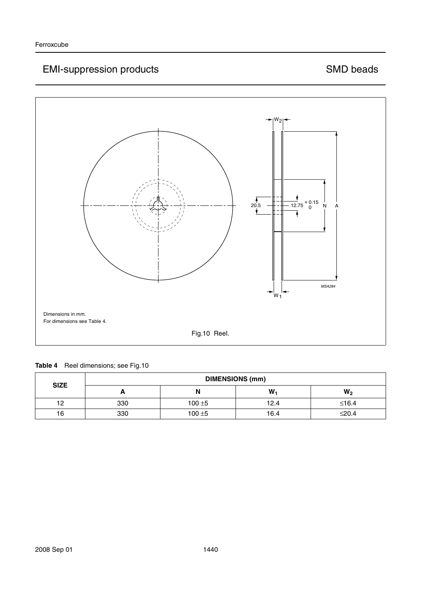

| <b>SIZE</b> | <b>DIMENSIONS (mm)</b> |           |      |                |  |
|-------------|------------------------|-----------|------|----------------|--|
|             | ┍                      | N         | W.   | W <sub>2</sub> |  |
| 12          | 330                    | $100 + 5$ | 12.4 | $≤16.4$        |  |
| 16          | 330                    | $100 + 5$ | 16.4 | $\leq 20.4$    |  |